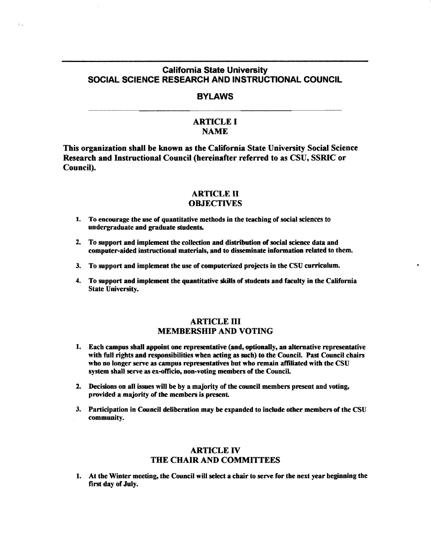# California State University SOCIAL SCIENCE RESEARCH AND INSTRUCTIONAL COUNCIL

 $\zeta$  .

### **BYLAWS**

# ARTICLE I NAME

This organization shall be known as the California State University Social Science Research and Instructional Council (hereinafter referred to as CSU, SSRIC or Council).

#### ARTICLE II **OBJECTIVES**

- 1. To encourage the use of quantitative methods in the teaching of social sciences to undergraduate and graduate students.
- 2. To support and implement the collection and distribution of social science data and computer-aided instructional materials, and to disseminate information related to them.
- 3. To support and implement the use of computerized projects in the CSU curriculum.
- 4. To support and implement the quantitative skills of students and faculty in the California State University.

## ARTICLE III MEMBERSHIP AND VOTING

- 1. Each campus shall appoint one representative (and, optionally, an alternative representative with full rights and responsibilities when acting as such) to the Council. Past Council chairs who no longer serve as campus representatives but who remain affiliated with the CSU system shall serve as ex-officio, non-voting members of the Council
- 2. Decisions on all issues will be by a majority of the council members present and voting, provided a majority of the members is present.
- 3. Participation in Council deliberation may be expanded to include other **members** of the CSU community.

# ARTICLE IV THE CHAIR AND COMMITTEES

1. At the Winter meeting, the Council will select a chair to serve for the next year beginning the first day of July.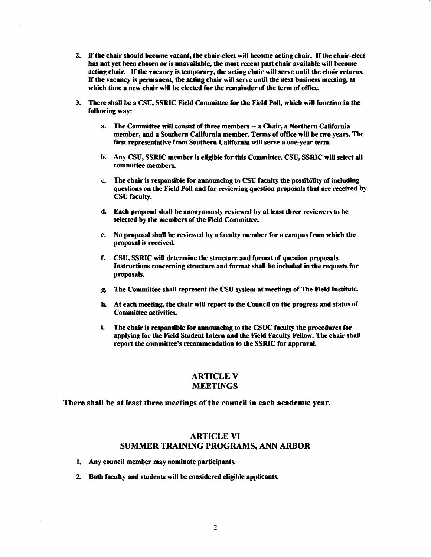- 2. If the chair should become vacant, the chair-elect will become acting chair. If the chair-elect has not yet been chosen or is unavailable, the most recent past chair available will become acting chair. Ifthe vacancy is temporary, the acting chair will serve until the chair returns. Ifthe vacancy is permanent, the acting chair will serve until the next business meeting, at which time a new chair will be elected for the remainder of the term of office.
- 3. There shall be a CSU, SSRIC Field Committee for the Field Poll, which will function in the following way:
	- a. The Committee will consist of three members- a Chair, a Northern California member, and a Southern California member. Terms of office will be two years. The first representative from Southern California will serve a one-year term.
	- b. Any CSU, SSRIC member is eligible for this Committee. CSU, SSRIC will select all committee members.
	- c. The chair is responsible for announcing to CSU faculty the possibility of including questions on the Field Poll and for reviewing question proposals that are received by CSU faculty.
	- d. Each proposal shall be anonymously reviewed by at least three reviewers to be selected by the members of the Fidd Committee.
	- e. No proposal shall be reviewed by a faculty member for a campus from which the proposal is received.
	- f. CSU, SSRIC will determine the structure and format of question proposals. Instructions concerning structure and format shall be included in the requests for proposals.
	- g. The Committee shall represent the CSU system at meetings of The Field Institute.
	- h. At each meeting, the chair will report to the Council on the progress and status of Committee activities.
	- i. The chair is responsible for announcing to the CSUC faculty the procedures for applying for the Fidd Student Intern and the Field Faculty Fellow. The chair shall report the committee's recommendation to the SSRIC for approval.

### **ARTICLE V** MEETINGS

There shall be at least three meetings of the council in each academic year.

## ARTICLE VI SUMMER TRAINING PROGRAMS, ANN ARBOR

- 1. Any council member may nominate participants.
- 2. Both faculty and students will be considered eligible applicants.